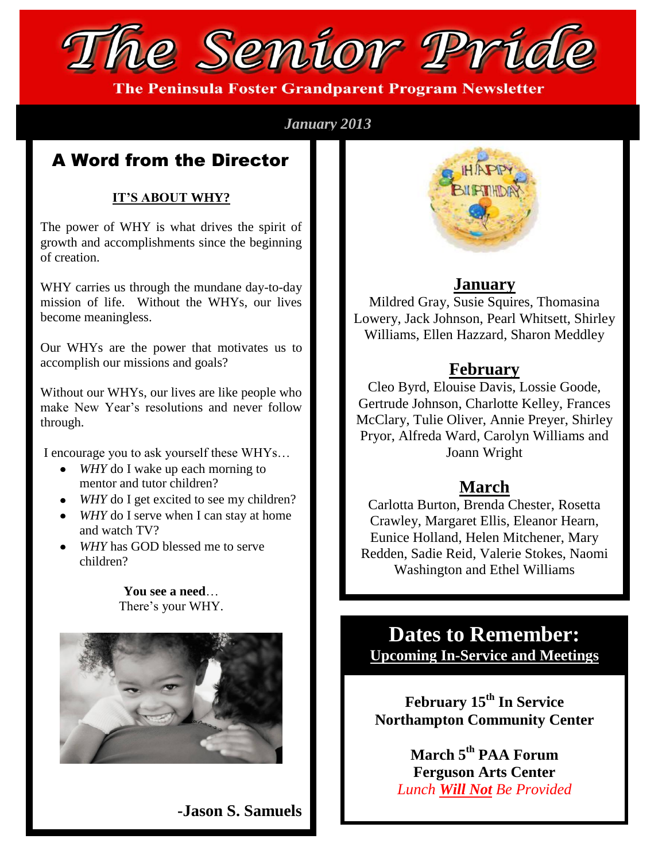

**The Peninsula Foster Grandparent Program Newsletter** 

#### *January 2013*

### A Word from the Director

#### **IT'S ABOUT WHY?**

The power of WHY is what drives the spirit of growth and accomplishments since the beginning of creation.

WHY carries us through the mundane day-to-day mission of life. Without the WHYs, our lives become meaningless.

Our WHYs are the power that motivates us to accomplish our missions and goals?

Without our WHYs, our lives are like people who make New Year's resolutions and never follow through.

I encourage you to ask yourself these WHYs…

- *WHY* do I wake up each morning to mentor and tutor children?
- *WHY* do I get excited to see my children?
- *WHY* do I serve when I can stay at home and watch TV?
- *WHY* has GOD blessed me to serve children?

**You see a need**… There's your WHY.



**-Jason S. Samuels**



#### **January**

Mildred Gray, Susie Squires, Thomasina Lowery, Jack Johnson, Pearl Whitsett, Shirley Williams, Ellen Hazzard, Sharon Meddley

#### **February**

Cleo Byrd, Elouise Davis, Lossie Goode, Gertrude Johnson, Charlotte Kelley, Frances McClary, Tulie Oliver, Annie Preyer, Shirley Pryor, Alfreda Ward, Carolyn Williams and Joann Wright

### **March**

Carlotta Burton, Brenda Chester, Rosetta Crawley, Margaret Ellis, Eleanor Hearn, Eunice Holland, Helen Mitchener, Mary Redden, Sadie Reid, Valerie Stokes, Naomi Washington and Ethel Williams

**Dates to Remember: Upcoming In-Service and Meetings**

**February 15 th In Service Northampton Community Center**

> **March 5 th PAA Forum Ferguson Arts Center** *Lunch Will Not Be Provided*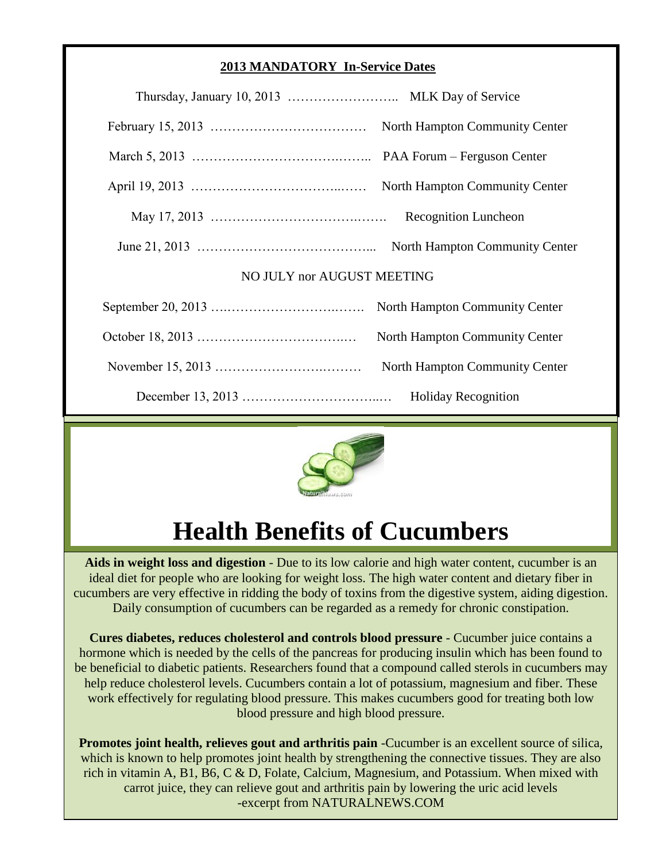#### **2013 MANDATORY In-Service Dates**

| <b>Recognition Luncheon</b>    |  |
|--------------------------------|--|
|                                |  |
| NO JULY nor AUGUST MEETING     |  |
|                                |  |
| North Hampton Community Center |  |
| North Hampton Community Center |  |
|                                |  |



# **Health Benefits of Cucumbers**

**Aids in weight loss and digestion** - Due to its low calorie and high water content, cucumber is an ideal diet for people who are looking for weight loss. The high water content and dietary fiber in cucumbers are very effective in ridding the body of toxins from the digestive system, aiding digestion. Daily consumption of cucumbers can be regarded as a remedy for chronic constipation.

**Cures diabetes, reduces cholesterol and controls blood pressure** - Cucumber juice contains a hormone which is needed by the cells of the pancreas for producing insulin which has been found to be beneficial to diabetic patients. Researchers found that a compound called sterols in cucumbers may help reduce cholesterol levels. Cucumbers contain a lot of potassium, magnesium and fiber. These work effectively for regulating blood pressure. This makes cucumbers good for treating both low blood pressure and high blood pressure.

**Promotes joint health, relieves gout and arthritis pain** -Cucumber is an excellent source of silica, which is known to help promotes joint health by strengthening the connective tissues. They are also rich in vitamin A, B1, B6, C & D, Folate, Calcium, Magnesium, and Potassium. When mixed with carrot juice, they can relieve gout and arthritis pain by lowering the uric acid levels -excerpt from NATURALNEWS.COM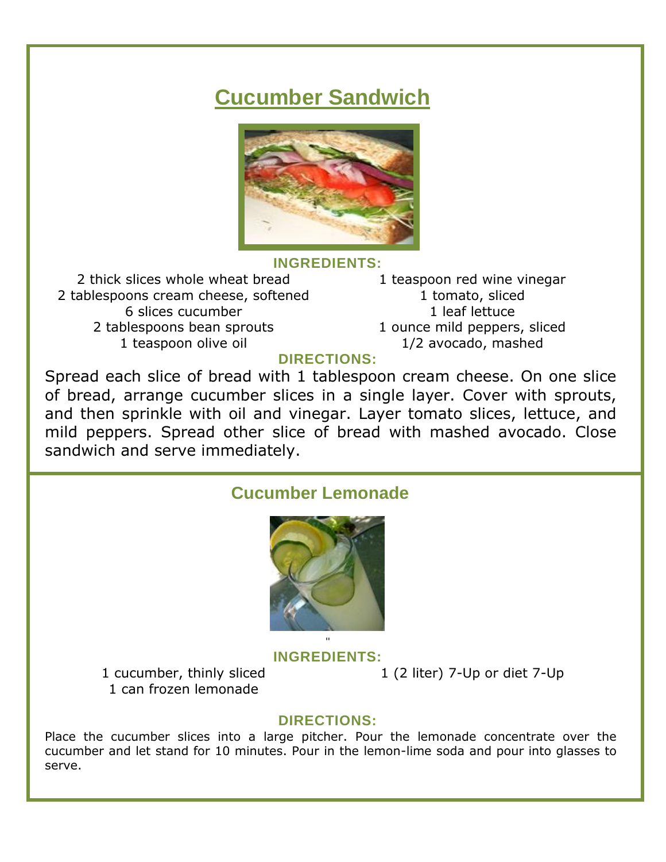## **Cucumber Sandwich**



#### **INGREDIENTS:**

2 thick slices whole wheat bread 2 tablespoons cream cheese, softened 6 slices cucumber 2 tablespoons bean sprouts 1 teaspoon olive oil

1 teaspoon red wine vinegar 1 tomato, sliced 1 leaf lettuce 1 ounce mild peppers, sliced 1/2 avocado, mashed

#### **DIRECTIONS:**

Spread each slice of bread with 1 tablespoon cream cheese. On one slice of bread, arrange cucumber slices in a single layer. Cover with sprouts, and then sprinkle with oil and vinegar. Layer tomato slices, lettuce, and mild peppers. Spread other slice of bread with mashed avocado. Close sandwich and serve immediately.

#### **Cucumber Lemonade**



**INGREDIENTS:**

1 cucumber, thinly sliced 1 can frozen lemonade

1 (2 liter) 7-Up or diet 7-Up

#### **DIRECTIONS:**

Place the cucumber slices into a large pitcher. Pour the lemonade concentrate over the cucumber and let stand for 10 minutes. Pour in the lemon-lime soda and pour into glasses to serve.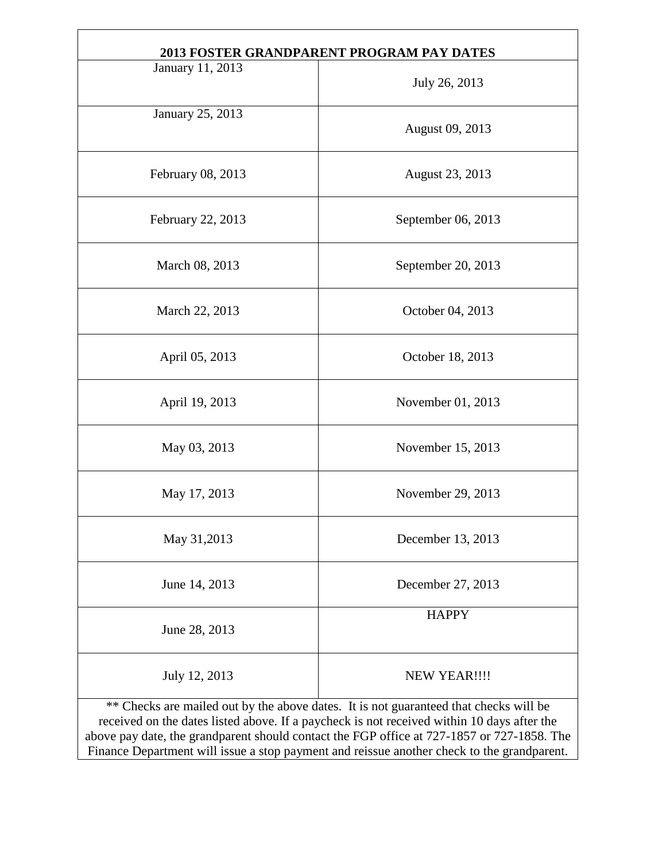| 2013 FOSTER GRANDPARENT PROGRAM PAY DATES                                             |                    |  |
|---------------------------------------------------------------------------------------|--------------------|--|
| January 11, 2013                                                                      | July 26, 2013      |  |
| January 25, 2013                                                                      | August 09, 2013    |  |
| February 08, 2013                                                                     | August 23, 2013    |  |
| February 22, 2013                                                                     | September 06, 2013 |  |
| March 08, 2013                                                                        | September 20, 2013 |  |
| March 22, 2013                                                                        | October 04, 2013   |  |
| April 05, 2013                                                                        | October 18, 2013   |  |
| April 19, 2013                                                                        | November 01, 2013  |  |
| May 03, 2013                                                                          | November 15, 2013  |  |
| May 17, 2013                                                                          | November 29, 2013  |  |
| May 31,2013                                                                           | December 13, 2013  |  |
| June 14, 2013                                                                         | December 27, 2013  |  |
| June 28, 2013                                                                         | <b>HAPPY</b>       |  |
| July 12, 2013                                                                         | NEW YEAR !!!!      |  |
| ** Checks are mailed out by the above dates. It is not guaranteed that checks will be |                    |  |

received on the dates listed above. If a paycheck is not received within 10 days after the above pay date, the grandparent should contact the FGP office at 727-1857 or 727-1858. The Finance Department will issue a stop payment and reissue another check to the grandparent.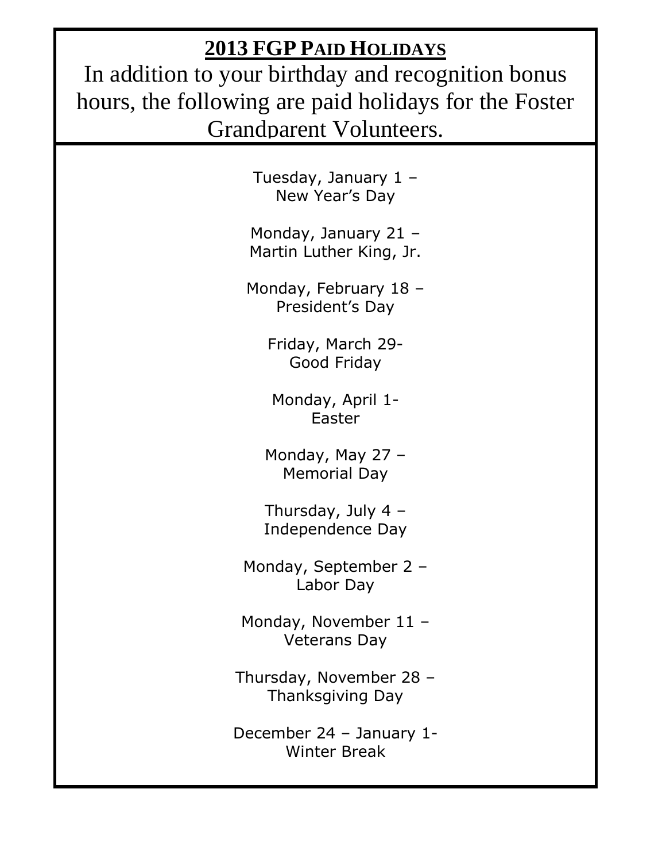## **2013 FGP PAID HOLIDAYS**

In addition to your birthday and recognition bonus hours, the following are paid holidays for the Foster Grandparent Volunteers.

> Tuesday, January 1 – New Year's Day

Monday, January 21 – Martin Luther King, Jr.

Monday, February 18 – President's Day

> Friday, March 29- Good Friday

Monday, April 1- Easter

Monday, May 27 – Memorial Day

Thursday, July 4 – Independence Day

Monday, September 2 – Labor Day

Monday, November 11 – Veterans Day

Thursday, November 28 – Thanksgiving Day

December 24 – January 1- Winter Break